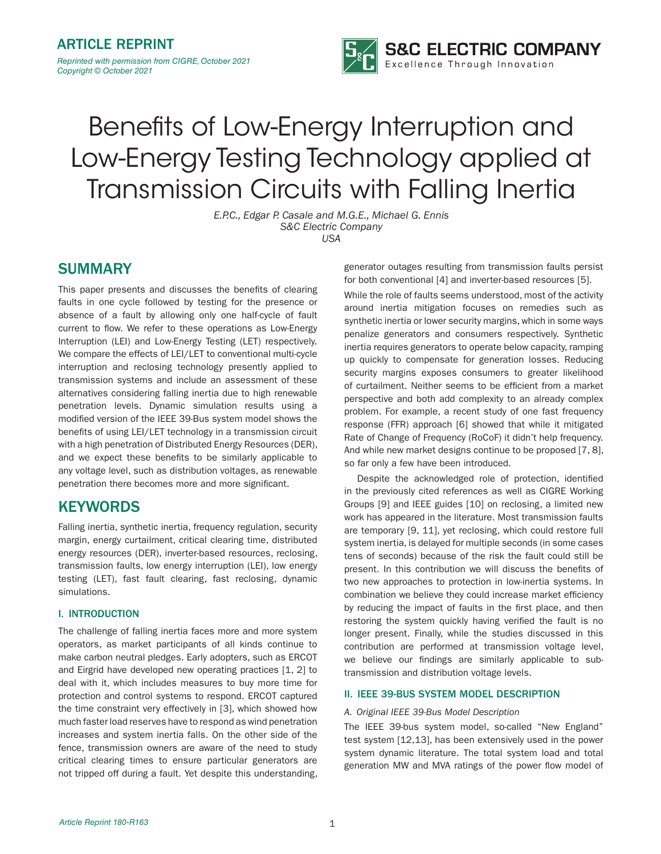

# Benefits of Low-Energy Interruption and Low-Energy Testing Technology applied at Transmission Circuits with Falling Inertia

*E.P.C., Edgar P. Casale and M.G.E., Michael G. Ennis S&C Electric Company USA*

# SUMMARY

This paper presents and discusses the benefits of clearing faults in one cycle followed by testing for the presence or absence of a fault by allowing only one half-cycle of fault current to flow. We refer to these operations as Low-Energy Interruption (LEI) and Low-Energy Testing (LET) respectively. We compare the effects of LEI/LET to conventional multi-cycle interruption and reclosing technology presently applied to transmission systems and include an assessment of these alternatives considering falling inertia due to high renewable penetration levels. Dynamic simulation results using a modified version of the IEEE 39-Bus system model shows the benefits of using LEI/LET technology in a transmission circuit with a high penetration of Distributed Energy Resources (DER), and we expect these benefits to be similarly applicable to any voltage level, such as distribution voltages, as renewable penetration there becomes more and more significant.

# **KEYWORDS**

Falling inertia, synthetic inertia, frequency regulation, security margin, energy curtailment, critical clearing time, distributed energy resources (DER), inverter-based resources, reclosing, transmission faults, low energy interruption (LEI), low energy testing (LET), fast fault clearing, fast reclosing, dynamic simulations.

# I. INTRODUCTION

The challenge of falling inertia faces more and more system operators, as market participants of all kinds continue to make carbon neutral pledges. Early adopters, such as ERCOT and Eirgrid have developed new operating practices [1, 2] to deal with it, which includes measures to buy more time for protection and control systems to respond. ERCOT captured the time constraint very effectively in [3], which showed how much faster load reserves have to respond as wind penetration increases and system inertia falls. On the other side of the fence, transmission owners are aware of the need to study critical clearing times to ensure particular generators are not tripped off during a fault. Yet despite this understanding,

generator outages resulting from transmission faults persist for both conventional [4] and inverter-based resources [5].

While the role of faults seems understood, most of the activity around inertia mitigation focuses on remedies such as synthetic inertia or lower security margins, which in some ways penalize generators and consumers respectively. Synthetic inertia requires generators to operate below capacity, ramping up quickly to compensate for generation losses. Reducing security margins exposes consumers to greater likelihood of curtailment. Neither seems to be efficient from a market perspective and both add complexity to an already complex problem. For example, a recent study of one fast frequency response (FFR) approach [6] showed that while it mitigated Rate of Change of Frequency (RoCoF) it didn't help frequency. And while new market designs continue to be proposed [7, 8], so far only a few have been introduced.

Despite the acknowledged role of protection, identified in the previously cited references as well as CIGRE Working Groups [9] and IEEE guides [10] on reclosing, a limited new work has appeared in the literature. Most transmission faults are temporary [9, 11], yet reclosing, which could restore full system inertia, is delayed for multiple seconds (in some cases tens of seconds) because of the risk the fault could still be present. In this contribution we will discuss the benefits of two new approaches to protection in low-inertia systems. In combination we believe they could increase market efficiency by reducing the impact of faults in the first place, and then restoring the system quickly having verified the fault is no longer present. Finally, while the studies discussed in this contribution are performed at transmission voltage level, we believe our findings are similarly applicable to subtransmission and distribution voltage levels.

# II. IEEE 39-BUS SYSTEM MODEL DESCRIPTION

# *A. Original IEEE 39-Bus Model Description*

The IEEE 39-bus system model, so-called "New England" test system [12,13], has been extensively used in the power system dynamic literature. The total system load and total generation MW and MVA ratings of the power flow model of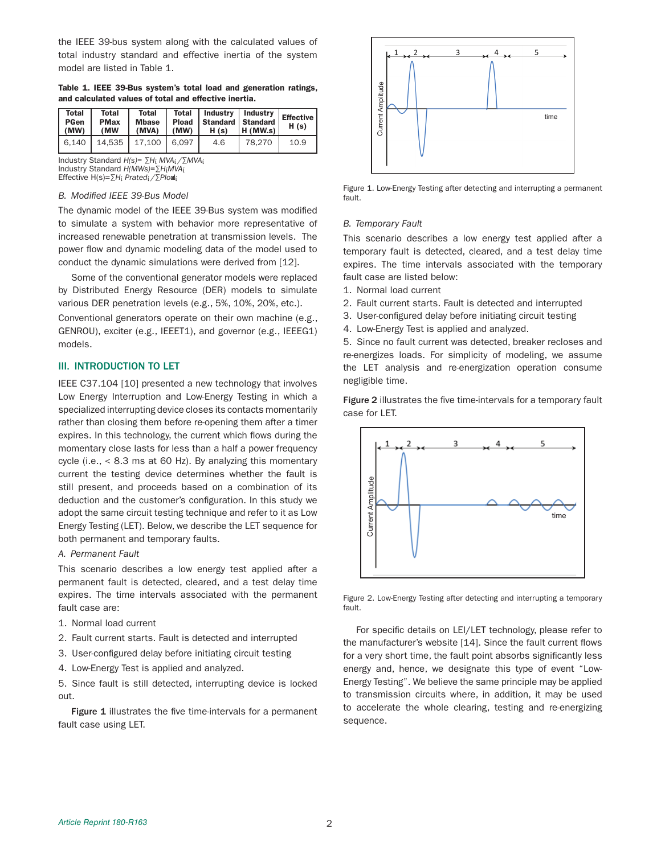the IEEE 39-bus system along with the calculated values of total industry standard and effective inertia of the system model are listed in Table 1.

Table 1. IEEE 39-Bus system's total load and generation ratings, and calculated values of total and effective inertia.

| Total<br><b>PGen</b><br>(MW) | Total<br><b>PMax</b><br>(MW | Total<br><b>Mbase</b><br>(MVA) | $\mid$ (MW) | Total   Industry   Industry<br>Pload   Standard   Standard<br>H(s) | H(MW,s) | <b>Effective</b><br>H(s) |
|------------------------------|-----------------------------|--------------------------------|-------------|--------------------------------------------------------------------|---------|--------------------------|
|                              | 6.140   14.535   17.100     |                                | 6.097       | 4.6                                                                | 78.270  | 10.9                     |

Industry Standard *H(s)= ∑H*ί *MVA*ί */∑MVA*ί Industry Standard *H(MWs)=∑H*ί*MVA*ί Effective H(s)=*∑H*ί *Prated*ί */∑Plo*adί

# *B. Modified IEEE 39-Bus Model*

The dynamic model of the IEEE 39-Bus system was modified to simulate a system with behavior more representative of increased renewable penetration at transmission levels. The power flow and dynamic modeling data of the model used to conduct the dynamic simulations were derived from [12].

Some of the conventional generator models were replaced by Distributed Energy Resource (DER) models to simulate various DER penetration levels (e.g., 5%, 10%, 20%, etc.).

Conventional generators operate on their own machine (e.g., GENROU), exciter (e.g., IEEET1), and governor (e.g., IEEEG1) models.

## III. INTRODUCTION TO LET

IEEE C37.104 [10] presented a new technology that involves Low Energy Interruption and Low-Energy Testing in which a specialized interrupting device closes its contacts momentarily rather than closing them before re-opening them after a timer expires. In this technology, the current which flows during the momentary close lasts for less than a half a power frequency cycle (i.e., < 8.3 ms at 60 Hz). By analyzing this momentary current the testing device determines whether the fault is still present, and proceeds based on a combination of its deduction and the customer's configuration. In this study we adopt the same circuit testing technique and refer to it as Low Energy Testing (LET). Below, we describe the LET sequence for both permanent and temporary faults.

#### *A. Permanent Fault*

This scenario describes a low energy test applied after a permanent fault is detected, cleared, and a test delay time expires. The time intervals associated with the permanent fault case are:

- 1. Normal load current
- 2. Fault current starts. Fault is detected and interrupted
- 3. User-configured delay before initiating circuit testing
- 4. Low-Energy Test is applied and analyzed.

5. Since fault is still detected, interrupting device is locked out.

Figure 1 illustrates the five time-intervals for a permanent fault case using LET.



Figure 1. Low-Energy Testing after detecting and interrupting a permanent fault.

#### *B. Temporary Fault*

This scenario describes a low energy test applied after a temporary fault is detected, cleared, and a test delay time expires. The time intervals associated with the temporary fault case are listed below:

- 1. Normal load current
- 2. Fault current starts. Fault is detected and interrupted
- 3. User-configured delay before initiating circuit testing
- 4. Low-Energy Test is applied and analyzed.

5. Since no fault current was detected, breaker recloses and re-energizes loads. For simplicity of modeling, we assume the LET analysis and re-energization operation consume negligible time.

Figure 2 illustrates the five time-intervals for a temporary fault case for LET.



Figure 2. Low-Energy Testing after detecting and interrupting a temporary fault.

For specific details on LEI/LET technology, please refer to the manufacturer's website [14]. Since the fault current flows for a very short time, the fault point absorbs significantly less energy and, hence, we designate this type of event "Low-Energy Testing". We believe the same principle may be applied to transmission circuits where, in addition, it may be used to accelerate the whole clearing, testing and re-energizing sequence.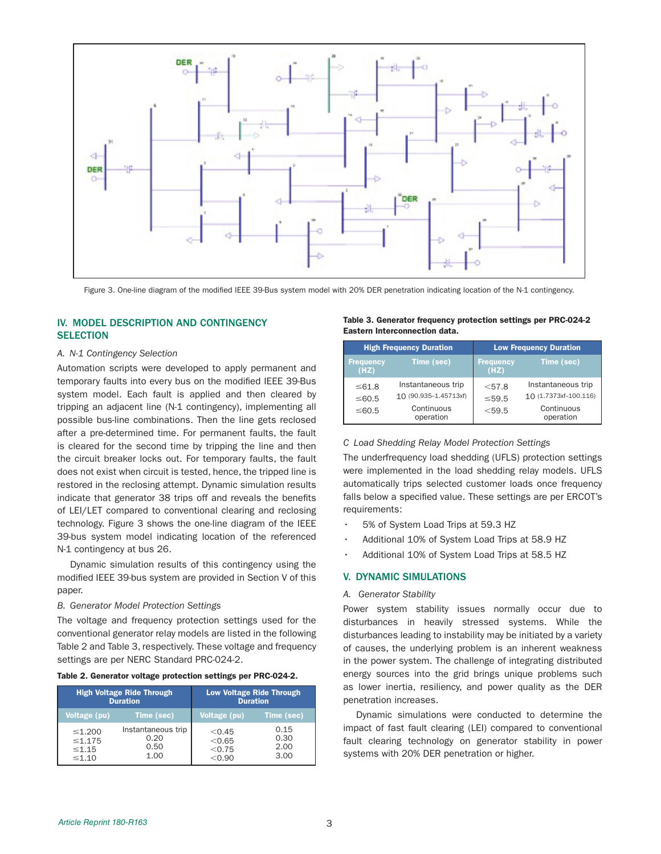

Figure 3. One-line diagram of the modified IEEE 39-Bus system model with 20% DER penetration indicating location of the N-1 contingency.

# IV. MODEL DESCRIPTION AND CONTINGENCY **SELECTION**

#### *A. N-1 Contingency Selection*

Automation scripts were developed to apply permanent and temporary faults into every bus on the modified IEEE 39-Bus system model. Each fault is applied and then cleared by tripping an adjacent line (N-1 contingency), implementing all possible bus-line combinations. Then the line gets reclosed after a pre-determined time. For permanent faults, the fault is cleared for the second time by tripping the line and then the circuit breaker locks out. For temporary faults, the fault does not exist when circuit is tested, hence, the tripped line is restored in the reclosing attempt. Dynamic simulation results indicate that generator 38 trips off and reveals the benefits of LEI/LET compared to conventional clearing and reclosing technology. Figure 3 shows the one-line diagram of the IEEE 39-bus system model indicating location of the referenced N-1 contingency at bus 26.

Dynamic simulation results of this contingency using the modified IEEE 39-bus system are provided in Section V of this paper.

#### *B. Generator Model Protection Settings*

The voltage and frequency protection settings used for the conventional generator relay models are listed in the following Table 2 and Table 3, respectively. These voltage and frequency settings are per NERC Standard PRC-024-2.

#### Table 2. Generator voltage protection settings per PRC-024-2.

|                                                            | <b>High Voltage Ride Through</b><br><b>Duration</b> | <b>Low Voltage Ride Through</b><br><b>Duration</b> |                              |  |
|------------------------------------------------------------|-----------------------------------------------------|----------------------------------------------------|------------------------------|--|
| Voltage (pu)                                               | Time (sec)                                          | Voltage (pu)                                       | Time (sec)                   |  |
| $\leq 1.200$<br>$\leq 1.175$<br>$\leq 1.15$<br>$\leq 1.10$ | Instantaneous trip<br>0.20<br>0.50<br>1.00          | < 0.45<br>< 0.65<br>< 0.75<br>< 0.90               | 0.15<br>0.30<br>2.00<br>3.00 |  |

#### Table 3. Generator frequency protection settings per PRC-024-2 Eastern Interconnection data.

|                          | <b>High Frequency Duration</b>              | <b>Low Frequency Duration</b> |                                             |  |
|--------------------------|---------------------------------------------|-------------------------------|---------------------------------------------|--|
| <b>Frequency</b><br>(HZ) | Time (sec)                                  | <b>Frequency</b><br>(HZ)      | Time (sec)                                  |  |
| $\leq 61.8$<br>≤60.5     | Instantaneous trip<br>10 (90.935-1.45713xf) | < 57.8<br>$\leq 59.5$         | Instantaneous trip<br>10 (1.7373xf-100.116) |  |
| ≤60.5                    | Continuous<br>operation                     | $<$ 59.5                      | Continuous<br>operation                     |  |

#### *C Load Shedding Relay Model Protection Settings*

The underfrequency load shedding (UFLS) protection settings were implemented in the load shedding relay models. UFLS automatically trips selected customer loads once frequency falls below a specified value. These settings are per ERCOT's requirements:

- 5% of System Load Trips at 59.3 HZ
- Additional 10% of System Load Trips at 58.9 HZ
- Additional 10% of System Load Trips at 58.5 HZ

# V. DYNAMIC SIMULATIONS

#### *A. Generator Stability*

Power system stability issues normally occur due to disturbances in heavily stressed systems. While the disturbances leading to instability may be initiated by a variety of causes, the underlying problem is an inherent weakness in the power system. The challenge of integrating distributed energy sources into the grid brings unique problems such as lower inertia, resiliency, and power quality as the DER penetration increases.

Dynamic simulations were conducted to determine the impact of fast fault clearing (LEI) compared to conventional fault clearing technology on generator stability in power systems with 20% DER penetration or higher.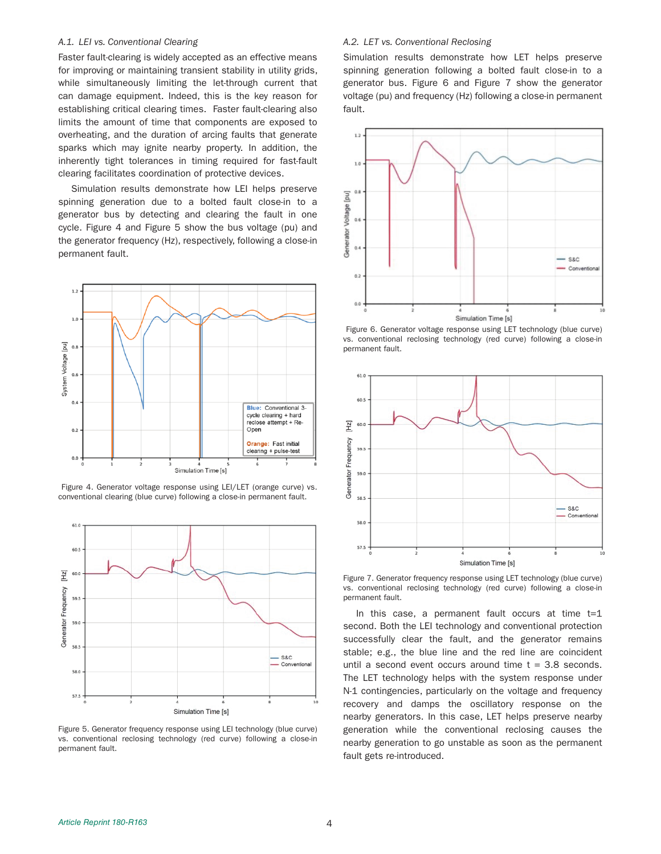#### *A.1. LEI vs. Conventional Clearing*

Faster fault-clearing is widely accepted as an effective means for improving or maintaining transient stability in utility grids, while simultaneously limiting the let-through current that can damage equipment. Indeed, this is the key reason for establishing critical clearing times. Faster fault-clearing also limits the amount of time that components are exposed to overheating, and the duration of arcing faults that generate sparks which may ignite nearby property. In addition, the inherently tight tolerances in timing required for fast-fault clearing facilitates coordination of protective devices.

Simulation results demonstrate how LEI helps preserve spinning generation due to a bolted fault close-in to a generator bus by detecting and clearing the fault in one cycle. Figure 4 and Figure 5 show the bus voltage (pu) and the generator frequency (Hz), respectively, following a close-in permanent fault.



 Figure 4. Generator voltage response using LEI/LET (orange curve) vs. conventional clearing (blue curve) following a close-in permanent fault.



Figure 5. Generator frequency response using LEI technology (blue curve) vs. conventional reclosing technology (red curve) following a close-in permanent fault.

#### *A.2. LET vs. Conventional Reclosing*

Simulation results demonstrate how LET helps preserve spinning generation following a bolted fault close-in to a generator bus. Figure 6 and Figure 7 show the generator voltage (pu) and frequency (Hz) following a close-in permanent fault.



 Figure 6. Generator voltage response using LET technology (blue curve) vs. conventional reclosing technology (red curve) following a close-in permanent fault.



Figure 7. Generator frequency response using LET technology (blue curve) vs. conventional reclosing technology (red curve) following a close-in permanent fault.

In this case, a permanent fault occurs at time  $t=1$ second. Both the LEI technology and conventional protection successfully clear the fault, and the generator remains stable; e.g., the blue line and the red line are coincident until a second event occurs around time  $t = 3.8$  seconds. The LET technology helps with the system response under N-1 contingencies, particularly on the voltage and frequency recovery and damps the oscillatory response on the nearby generators. In this case, LET helps preserve nearby generation while the conventional reclosing causes the nearby generation to go unstable as soon as the permanent fault gets re-introduced.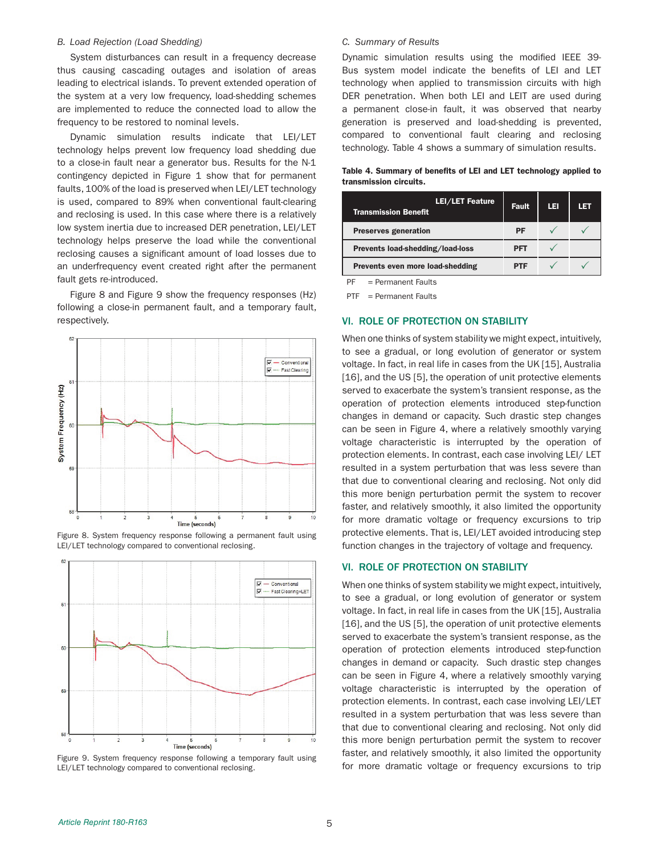#### *B. Load Rejection (Load Shedding)*

System disturbances can result in a frequency decrease thus causing cascading outages and isolation of areas leading to electrical islands. To prevent extended operation of the system at a very low frequency, load-shedding schemes are implemented to reduce the connected load to allow the frequency to be restored to nominal levels.

Dynamic simulation results indicate that LEI/LET technology helps prevent low frequency load shedding due to a close-in fault near a generator bus. Results for the N-1 contingency depicted in Figure 1 show that for permanent faults, 100% of the load is preserved when LEI/LET technology is used, compared to 89% when conventional fault-clearing and reclosing is used. In this case where there is a relatively low system inertia due to increased DER penetration, LEI/LET technology helps preserve the load while the conventional reclosing causes a significant amount of load losses due to an underfrequency event created right after the permanent fault gets re-introduced.

Figure 8 and Figure 9 show the frequency responses (Hz) following a close-in permanent fault, and a temporary fault, respectively.



Figure 8. System frequency response following a permanent fault using LEI/LET technology compared to conventional reclosing.



Figure 9. System frequency response following a temporary fault using LEI/LET technology compared to conventional reclosing.

#### *C. Summary of Results*

Dynamic simulation results using the modified IEEE 39- Bus system model indicate the benefits of LEI and LET technology when applied to transmission circuits with high DER penetration. When both LEI and LEIT are used during a permanent close-in fault, it was observed that nearby generation is preserved and load-shedding is prevented, compared to conventional fault clearing and reclosing technology. Table 4 shows a summary of simulation results.

Table 4. Summary of benefits of LEI and LET technology applied to transmission circuits.

| <b>LEI/LET Feature</b><br><b>Transmission Benefit</b> | <b>Fault</b> | LEI | LET |
|-------------------------------------------------------|--------------|-----|-----|
| <b>Preserves generation</b>                           | PF           |     |     |
| Prevents load-shedding/load-loss                      | PFT          |     |     |
| <b>Prevents even more load-shedding</b>               | PTF          |     |     |

PF = Permanent Faults

PTF = Permanent Faults

#### VI. ROLE OF PROTECTION ON STABILITY

When one thinks of system stability we might expect, intuitively, to see a gradual, or long evolution of generator or system voltage. In fact, in real life in cases from the UK [15], Australia [16], and the US [5], the operation of unit protective elements served to exacerbate the system's transient response, as the operation of protection elements introduced step-function changes in demand or capacity. Such drastic step changes can be seen in Figure 4, where a relatively smoothly varying voltage characteristic is interrupted by the operation of protection elements. In contrast, each case involving LEI/ LET resulted in a system perturbation that was less severe than that due to conventional clearing and reclosing. Not only did this more benign perturbation permit the system to recover faster, and relatively smoothly, it also limited the opportunity for more dramatic voltage or frequency excursions to trip protective elements. That is, LEI/LET avoided introducing step function changes in the trajectory of voltage and frequency.

## VI. ROLE OF PROTECTION ON STABILITY

When one thinks of system stability we might expect, intuitively, to see a gradual, or long evolution of generator or system voltage. In fact, in real life in cases from the UK [15], Australia [16], and the US [5], the operation of unit protective elements served to exacerbate the system's transient response, as the operation of protection elements introduced step-function changes in demand or capacity. Such drastic step changes can be seen in Figure 4, where a relatively smoothly varying voltage characteristic is interrupted by the operation of protection elements. In contrast, each case involving LEI/LET resulted in a system perturbation that was less severe than that due to conventional clearing and reclosing. Not only did this more benign perturbation permit the system to recover faster, and relatively smoothly, it also limited the opportunity for more dramatic voltage or frequency excursions to trip